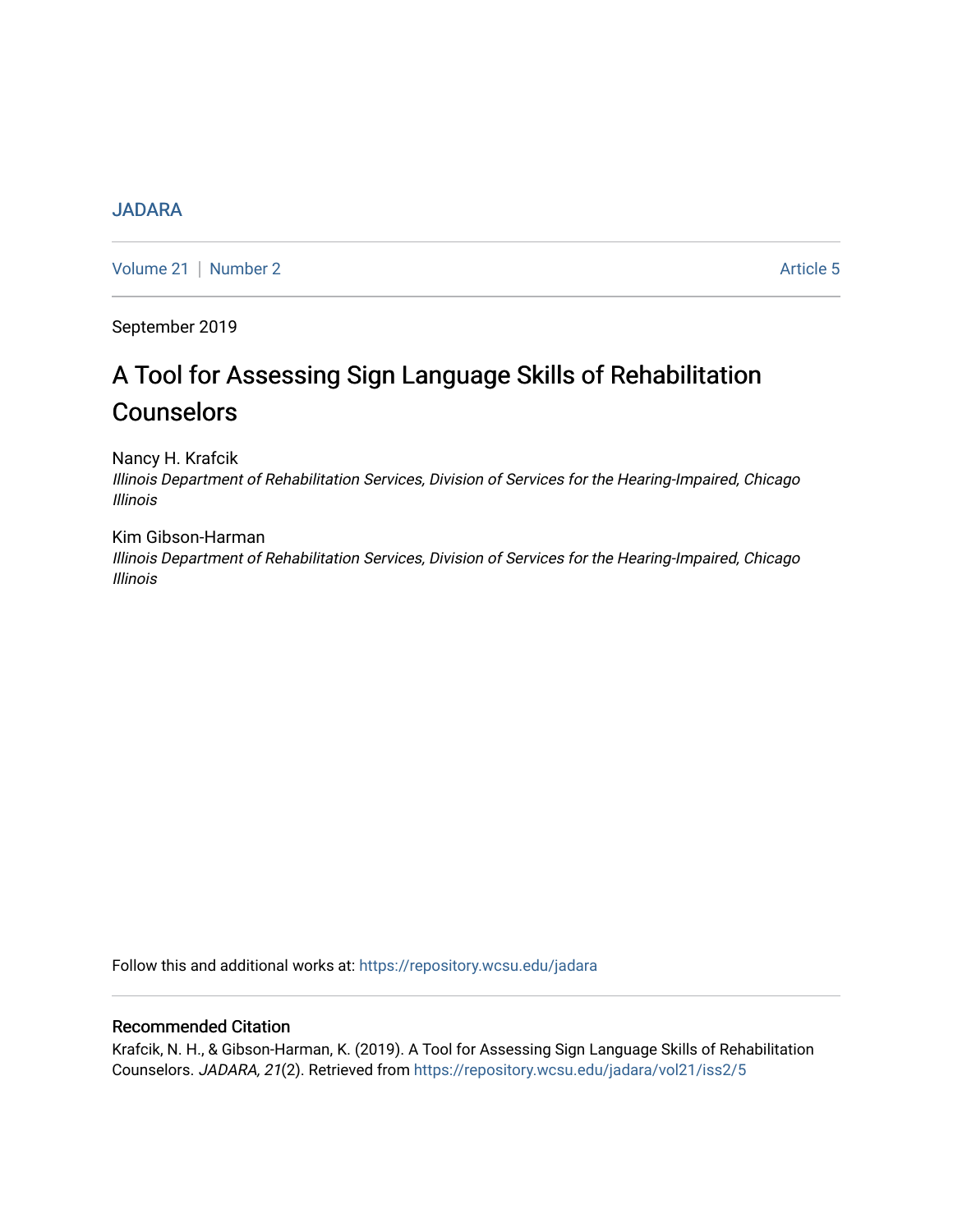# [JADARA](https://repository.wcsu.edu/jadara)

[Volume 21](https://repository.wcsu.edu/jadara/vol21) | [Number 2](https://repository.wcsu.edu/jadara/vol21/iss2) Article 5

September 2019

# A Tool for Assessing Sign Language Skills of Rehabilitation **Counselors**

Nancy H. Krafcik

Illinois Department of Rehabilitation Services, Division of Services for the Hearing-Impaired, Chicago Illinois

Kim Gibson-Harman Illinois Department of Rehabilitation Services, Division of Services for the Hearing-Impaired, Chicago Illinois

Follow this and additional works at: [https://repository.wcsu.edu/jadara](https://repository.wcsu.edu/jadara?utm_source=repository.wcsu.edu%2Fjadara%2Fvol21%2Fiss2%2F5&utm_medium=PDF&utm_campaign=PDFCoverPages)

# Recommended Citation

Krafcik, N. H., & Gibson-Harman, K. (2019). A Tool for Assessing Sign Language Skills of Rehabilitation Counselors. JADARA, 21(2). Retrieved from [https://repository.wcsu.edu/jadara/vol21/iss2/5](https://repository.wcsu.edu/jadara/vol21/iss2/5?utm_source=repository.wcsu.edu%2Fjadara%2Fvol21%2Fiss2%2F5&utm_medium=PDF&utm_campaign=PDFCoverPages)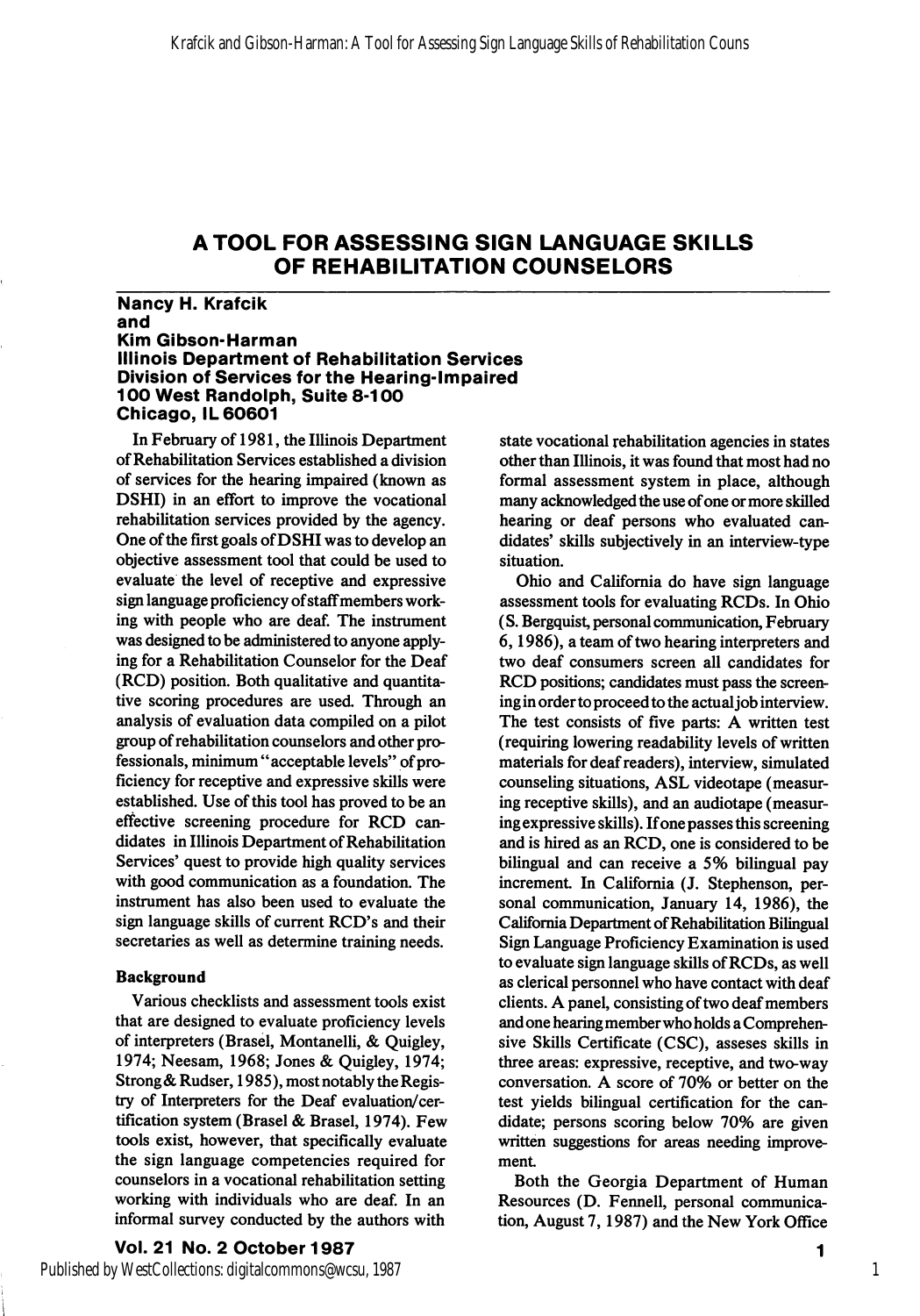#### Nancy H. Krafoik and Kim GIbson-Harman Illinois Department of Rehabilitation Services Division of Services for the Hearing-impaired 100 West Randolph, Suite 8-100 Chicago, IL 60601

In February of 1981, the Illinois Department of Rehabilitation Services established a division of services for the hearing impaired (known as DSHI) in an effort to improve the vocational rehabilitation services provided by the agency. One of the first goals of DSHI was to develop an objective assessment tool that could be used to evaluate the level of receptive and expressive sign language proficiency of staff members work ing with people who are deaf. The instrument was designed to be administered to anyone apply ing for a Rehabilitation Counselor for the Deaf (RCD) position. Both qualitative and quantita tive scoring procedures are used. Through an analysis of evaluation data compiled on a pilot group of rehabilitation counselors and other pro fessionals, minimum "acceptable levels" of pro ficiency for receptive and expressive skills were established. Use of this tool has proved to be an effective screening procedure for RCD can didates in Illinois Department of Rehabilitation Services' quest to provide high quality services with good communication as a foundation. The instrument has also been used to evaluate the sign language skills of current RCD's and their secretaries as well as determine training needs.

#### Background

Various checklists and assessment tools exist that are designed to evaluate proficiency levels of interpreters (Brasel, Montanelli, & Quigley, 1974; Neesam, 1968; Jones & Quigley, 1974; Strong & Rudser, 1985), most notably the Regis try of Interpreters for the Deaf evaluation/cer tification system (Brasel & Brasel, 1974). Few tools exist, however, that specifically evaluate the sign language competencies required for counselors in a vocational rehabilitation setting working with individuals who are deaf. In an informal survey conducted by the authors with

state vocational rehabilitation agencie s in states other than Illinois, it was found that most had no formal assessment system in place, although many acknowledged the use of one or more skilled hearing or deaf persons who evaluated can didates' skills subjectively in an interview-type situation.

Ohio and California do have sign language assessment tools for evaluating RCDs. In Ohio (S. Bergquist, personal communication, February 6,1986), a team of two hearing interpreters and two deaf consumers screen all candidates for RCD positions; candidates must pass the screen ing in order to proceed to the actual job interview. The test consists of five parts: A written test (requiring lowering readability levels of written materials for deaf readers), interview, simulated counseling situations, ASL videotape (measur ing receptive skills), and an audiotape (measur ing expressive skills). If one passes this screening and is hired as an RCD, one is considered to be bilingual and can receive a 5% bilingual pay increment. In California (J. Stephenson, personal communication, January 14, 1986), the California Department of Rehabilitation Bilingual Sign Language Proficiency Examination is used to evaluate sign language skills of RCDs, as well as clerical personnel who have contact with deaf clients. A panel, consisting of two deaf members and one hearing member who holds a Comprehen sive Skills Certificate (CSC), asseses skills in three areas: expressive, receptive, and two-way conversation. A score of 70% or better on the test yields bilingual certification for the can didate; persons scoring below 70% are given written suggestions for areas needing improve ment

Both the Georgia Department of Human Resources (D. Fennell, personal communica tion, August 7,1987) and the New York Office

1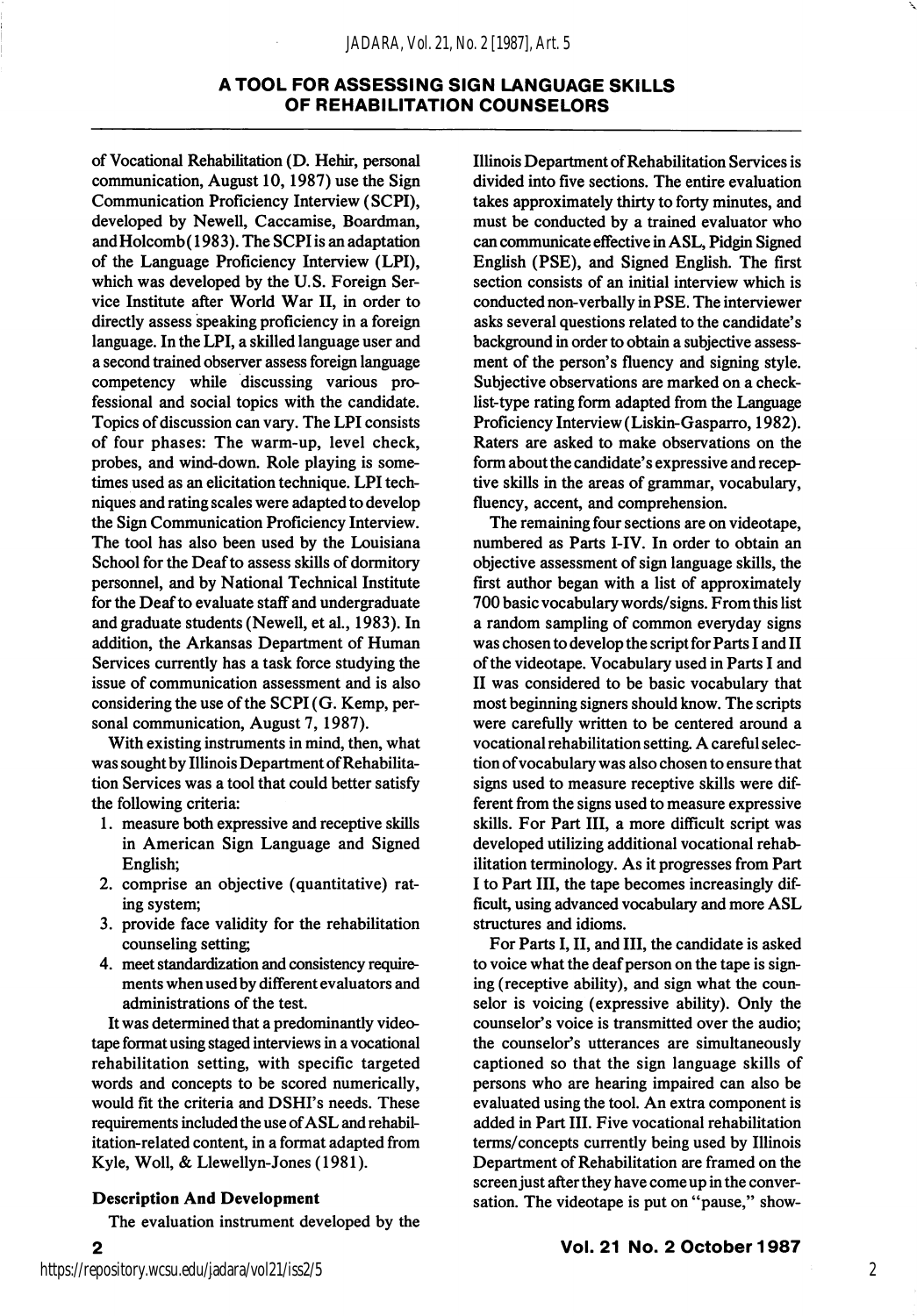of Vocational Rehabilitation (D. Hehir, personal communication, August 10,1987) use the Sign Communication Proficiency Interview (SCPI), developed by Newell, Caccamise, Boardman, and Holcomb (1983). The SCPI is an adaptation of the Language Proficiency Interview (LPI), which was developed by the U.S. Foreign Ser vice Institute after World War II, in order to directly assess speaking proficiency in a foreign language. In the LPI, a skilled language user and a second trained observer assess foreign language competency while discussing various pro fessional and social topics with the candidate. Topics of discussion can vary. The LPI consists of four phases: The warm-up, level check, probes, and wind-down. Role playing is some times used as an elicitation technique. LPI tech niques and rating scales were adapted to develop the Sign Communication Proficiency Interview. The tool has also been used by the Louisiana School for the Deaf to assess skills of dormitory personnel, and by National Technical Institute for the Deaf to evaluate staff and undergraduate and graduate students (Newell, et al., 1983). In addition, the Arkansas Department of Human Services currently has a task force studying the issue of communication assessment and is also considering the use of the SCPI (G. Kemp, per sonal communication, August 7, 1987).

With existing instruments in mind, then, what was sought by Illinois Department of Rehabilita tion Services was a tool that could better satisfy the following criteria:

- 1. measure both expressive and receptive skills in American Sign Language and Signed English;
- 2. comprise an objective (quantitative) rat ing system;
- 3. provide face validity for the rehabilitation counseling setting
- 4. meet standardization and consistency require ments when used by different evaluators and administrations of the test.

It was determined that a predominantly video tape format using staged interviews in a vocational rehabilitation setting, with specific targeted words and concepts to be scored numerically, would fit the criteria and DSHI's needs. These requirements included the use of ASL and rehabil itation-related content, in a format adapted from Kyle, Woll, & Llewellyn-Jones (1981).

#### Description And Development

The evaluation instrument developed by the

Illinois Department of Rehabilitation Services is divided into five sections. The entire evaluation takes approximately thirty to forty minutes, and must be conducted by a trained evaluator who can communicate effective in ASL, Pidgin Signed English (PSE), and Signed English. The first section consists of an initial interview which is conducted non-verbally in PSE. The interviewer asks several questions related to the candidate's background in order to obtain a subjective assess ment of the person's fluency and signing style. Subjective observations are marked on a check list-type rating form adapted from the Language Proficiency Interview (Liskin-Gasparro, 1982). Raters are asked to make observations on the form about the candidate's expressive and recep tive skills in the areas of grammar, vocabulary, fluency, accent, and comprehension.

The remaining four sections are on videotape, numbered as Parts I-IV. In order to obtain an objective assessment of sign language skills, the first author began with a list of approximately 700 basic vocabulary words/signs. From this list a random sampling of common everyday signs was chosen to develop the script for Parts I and II of the videotape. Vocabulary used in Parts I and II was considered to be basic vocabulary that most beginning signers should know. The scripts were carefully written to be centered around a vocational rehabilitation setting. A careful selec tion of vocabulary was also chosen to ensure that signs used to measure receptive skills were dif ferent from the signs used to measure expressive skills. For Part III, a more difficult script was developed utilizing additional vocational rehab ilitation terminology. As it progresses from Part I to Part III, the tape becomes increasingly dif ficult, using advanced vocabulary and more ASL structures and idioms.

For Parts I, II, and III, the candidate is asked to voice what the deaf person on the tape is sign ing (receptive ability), and sign what the coun selor is voicing (expressive ability). Only the counselor's voice is transmitted over the audio; the counselor's utterances are simultaneously captioned so that the sign language skills of persons who are hearing impaired can also be evaluated using the tool. An extra component is added in Part III. Five vocational rehabilitation terms/concepts currently being used by Illinois Department of Rehabilitation are framed on the screen just after they have come up in the conver sation. The videotape is put on "pause," show-

 $\mathbf{2}$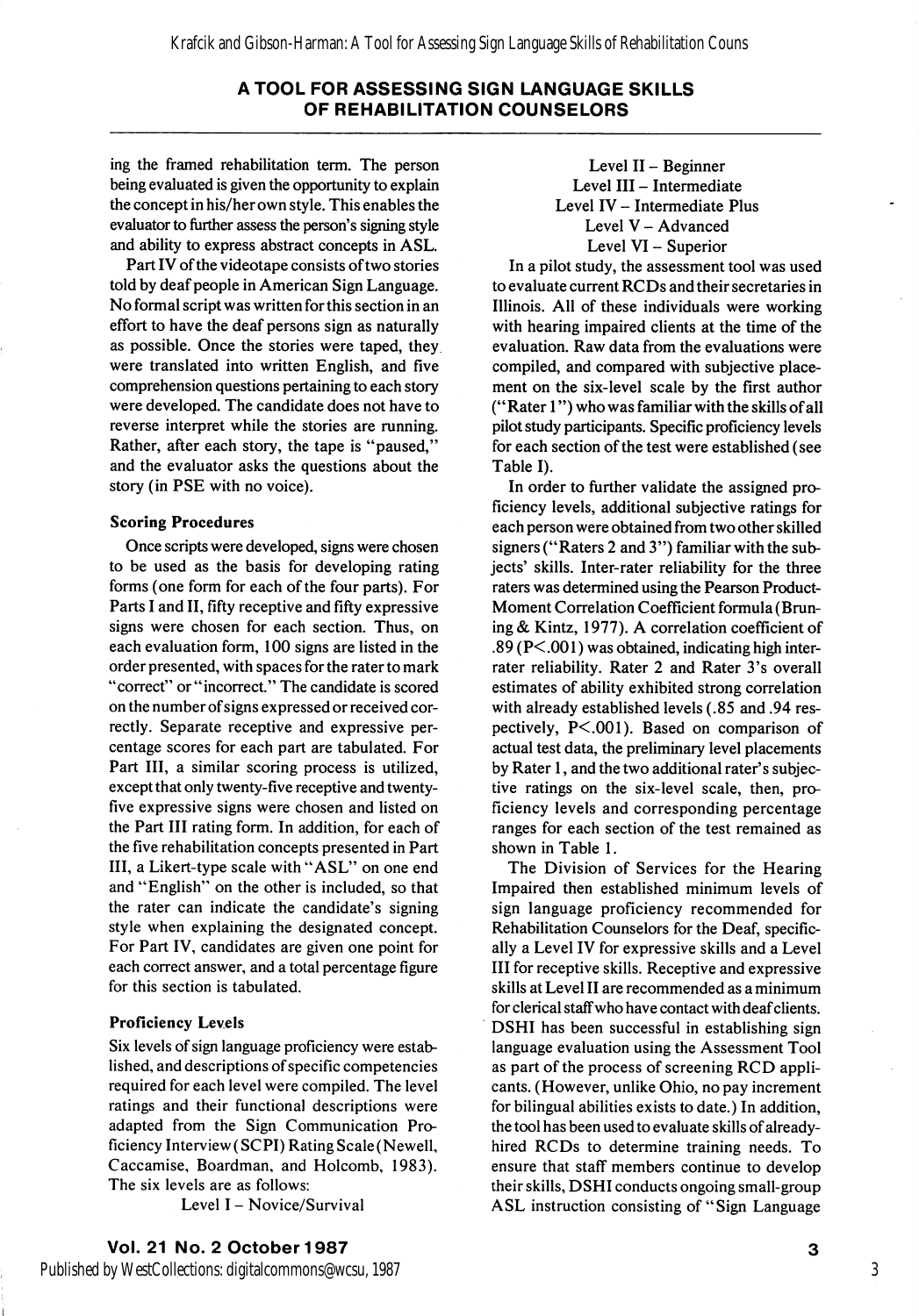ing the framed rehabilitation term. The person being evaluated is given the opportunity to explain the concept in his/her own style. This enables the evaluator to further assess the person's signing style and ability to express abstract concepts in ASL.

Part IV of the videotape consists of two stories told by deaf people in American Sign Language. No formal script was written for this section in an effort to have the deaf persons sign as naturally as possible. Once the stories were taped, they were translated into written English, and five comprehension questions pertaining to each story were developed. The candidate does not have to reverse interpret while the stories are running. Rather, after each story, the tape is "paused," and the evaluator asks the questions about the story (in PSE with no voice).

#### Scoring Procedures

Once scripts were developed, signs were chosen to be used as the basis for developing rating forms (one form for each of the four parts). For Parts I and II, fifty receptive and fifty expressive signs were chosen for each section. Thus, on each evaluation form, 100 signs are listed in the order presented, with spaces for the rater to mark "correct" or "incorrect." The candidate is scored on the number of signs expressed or received cor rectly. Separate receptive and expressive per centage scores for each part are tabulated. For Part III, a similar scoring process is utilized, except that only twenty-five receptive and twentyfive expressive signs were chosen and listed on the Part III rating form. In addition, for each of the five rehabilitation concepts presented in Part III, a Likert-type scale with "ASL" on one end and "English" on the other is included, so that the rater can indicate the candidate's signing style when explaining the designated concept. For Part IV, candidates are given one point for each correct answer, and a total percentage figure for this section is tabulated.

### Proficiency Levels

Six levels of sign language proficiency were estab lished, and descriptions of specific competencies required for each level were compiled. The level ratings and their functional descriptions were adapted from the Sign Communication Pro ficiency Interview (SCPI) Rating Scale (Newell, Caccamise, Boardman, and Holcomb, 1983). The six levels are as follows:

Level I - Novice/Survival

Level II - Beginner Level III - Intermediate Level IV - Intermediate Plus Level V - Advanced Level VI - Superior

In a pilot study, the assessment tool was used to evaluate current RCDs and their secretaries in Illinois. All of these individuals were working with hearing impaired clients at the time of the evaluation. Raw data from the evaluations were compiled, and compared with subjective place ment on the six-level scale by the first author ("Rater 1") who was familiar with the skills of all pilot study participants. Specific proficiency levels for each section of the test were established (see Table I).

In order to further validate the assigned pro ficiency levels, additional subjective ratings for each person were obtained from two other skilled signers ("Raters 2 and 3") familiar with the sub jects' skills. Inter-rater reliability for the three raters was determined using the Pearson Product-Moment Correlation Coefficient formula (Bruning & Kintz, 1977). A correlation coefficient of .89 (P<.001) was obtained, indicating high interrater reliability. Rater 2 and Rater 3's overall estimates of ability exhibited strong correlation with already established levels (.85 and .94 res pectively, P<.001). Based on comparison of actual test data, the preliminary level placements by Rater 1, and the two additional rater's subjec tive ratings on the six-level scale, then, pro ficiency levels and corresponding percentage ranges for each section of the test remained as shown in Table 1.

The Division of Services for the Hearing Impaired then established minimum levels of sign language proficiency recommended for Rehabilitation Counselors for the Deaf, specific ally a Level IV for expressive skills and a Level III for receptive skills. Receptive and expressive skills at Level II are recommended as a minimum for clerical staff who have contact with deaf clients. DSHI has been successful in establishing sign language evaluation using the Assessment Tool as part of the process of screening RCD appli cants. (However, unlike Ohio, no pay increment for bilingual abilities exists to date.) In addition, the tool has been used to evaluate skills of alreadyhired RCDs to determine training needs. To ensure that staff members continue to develop their skills, DSHI conducts ongoing small-group ASL instruction consisting of "Sign Language

Vol. 21 No. 2 October 1987

Published by WestCollections: digitalcommons@wcsu, 1987

3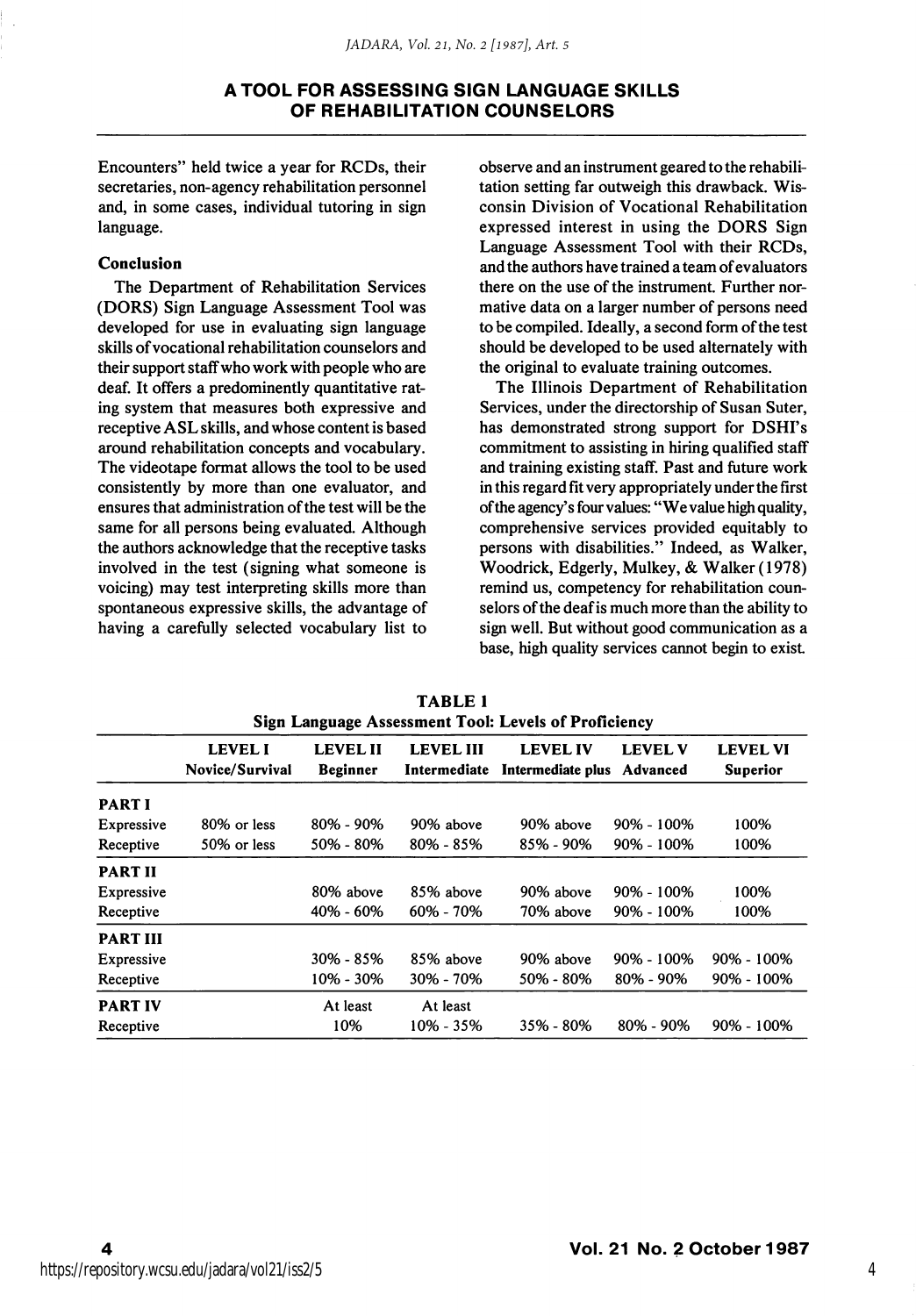Encounters" held twice a year for RCDs, their secretaries, non-agency rehabilitation personnel and, in some cases, individual tutoring in sign language.

#### Conclusion

The Department of Rehabilitation Services (DORS) Sign Language Assessment Tool was developed for use in evaluating sign language skills of vocational rehabilitation counselors and their support staff who work with people who are deaf. It offers a predominently quantitative rat ing system that measures both expressive and receptive ASL skills, and whose content is based around rehabilitation concepts and vocabulary. The videotape format allows the tool to be used consistently by more than one evaluator, and ensures that administration of the test will be the same for all persons being evaluated. Although the authors acknowledge that the receptive tasks involved in the test (signing what someone is voicing) may test interpreting skills more than spontaneous expressive skills, the advantage of having a carefully selected vocabulary list to

observe and an instrument geared to the rehabili tation setting far outweigh this drawback. Wis consin Division of Vocational Rehabilitation expressed interest in using the DORS Sign Language Assessment Tool with their RCDs, and the authors have trained a team of evaluators there on the use of the instrument. Further nor mative data on a larger number of persons need to be compiled. Ideally, a second form of the test should be developed to be used alternately with the original to evaluate training outcomes.

The Illinois Department of Rehabilitation Services, under the directorship of Susan Suter, has demonstrated strong support for DSHI's commitment to assisting in hiring qualified staff and training existing staff. Past and future work in this regard fit very appropriately under the first of the agency's four values: "We value high quality, comprehensive services provided equitably to persons with disabilities." Indeed, as Walker, Woodrick, Edgerly, Mulkey, & Walker (1978) remind us, competency for rehabilitation coun selors of the deaf is much more than the ability to sign well. But without good communication as a base, high quality services cannot begin to exist

|                   | <b>LEVEL I</b><br>Novice/Survival | <b>LEVEL II</b><br><b>Beginner</b> | <b>LEVEL III</b><br>Intermediate | <b>LEVEL IV</b><br>Intermediate plus | <b>LEVEL V</b><br>Advanced | <b>LEVEL VI</b><br><b>Superior</b> |  |
|-------------------|-----------------------------------|------------------------------------|----------------------------------|--------------------------------------|----------------------------|------------------------------------|--|
| <b>PART I</b>     |                                   |                                    |                                  |                                      |                            |                                    |  |
| Expressive        | 80% or less                       | $80\% - 90\%$                      | 90% above                        | 90% above                            | $90\% - 100\%$             | 100%                               |  |
| Receptive         | 50% or less                       | 50% - 80%                          | 80% - 85%                        | 85% - 90%                            | 90% - 100%                 | 100%                               |  |
| <b>PART II</b>    |                                   |                                    |                                  |                                      |                            |                                    |  |
| Expressive        |                                   | 80% above                          | 85% above                        | 90% above                            | $90\% - 100\%$             | 100%                               |  |
| Receptive         |                                   | 40% - 60%                          | 60% - 70%                        | 70% above                            | 90% - 100%                 | 100%                               |  |
| <b>PART III</b>   |                                   |                                    |                                  |                                      |                            |                                    |  |
| <b>Expressive</b> |                                   | 30% - 85%                          | 85% above                        | 90% above                            | 90% - 100%                 | $90\% - 100\%$                     |  |
| Receptive         |                                   | 10% - 30%                          | 30% - 70%                        | 50% - 80%                            | 80% - 90%                  | 90% - 100%                         |  |
| <b>PART IV</b>    |                                   | At least                           | At least                         |                                      |                            |                                    |  |
| Receptive         |                                   | 10%                                | $10\% - 35\%$                    | 35% - 80%                            | 80% - 90%                  | $90\% - 100\%$                     |  |

TABLE 1 Sign Language Assessment Tool: Levels of Proficiency